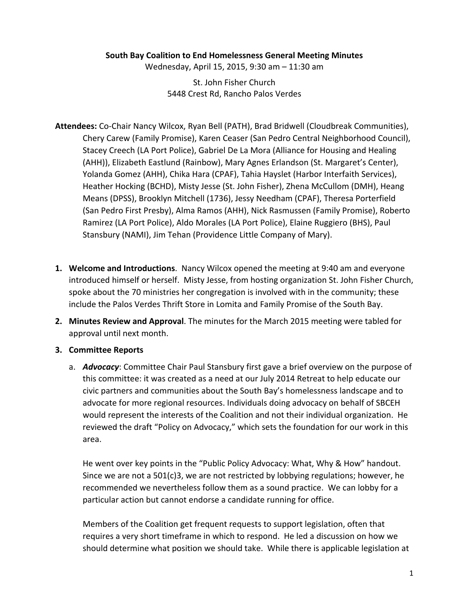#### **South Bay Coalition to End Homelessness General Meeting Minutes**

Wednesday, April 15, 2015, 9:30 am - 11:30 am

St. John Fisher Church 5448 Crest Rd, Rancho Palos Verdes

- Attendees: Co-Chair Nancy Wilcox, Ryan Bell (PATH), Brad Bridwell (Cloudbreak Communities), Chery Carew (Family Promise), Karen Ceaser (San Pedro Central Neighborhood Council), Stacey Creech (LA Port Police), Gabriel De La Mora (Alliance for Housing and Healing (AHH)), Elizabeth Eastlund (Rainbow), Mary Agnes Erlandson (St. Margaret's Center), Yolanda Gomez (AHH), Chika Hara (CPAF), Tahia Hayslet (Harbor Interfaith Services), Heather Hocking (BCHD), Misty Jesse (St. John Fisher), Zhena McCullom (DMH), Heang Means (DPSS), Brooklyn Mitchell (1736), Jessy Needham (CPAF), Theresa Porterfield (San Pedro First Presby), Alma Ramos (AHH), Nick Rasmussen (Family Promise), Roberto Ramirez (LA Port Police), Aldo Morales (LA Port Police), Elaine Ruggiero (BHS), Paul Stansbury (NAMI), Jim Tehan (Providence Little Company of Mary).
- **1. Welcome and Introductions.** Nancy Wilcox opened the meeting at 9:40 am and everyone introduced himself or herself. Misty Jesse, from hosting organization St. John Fisher Church, spoke about the 70 ministries her congregation is involved with in the community; these include the Palos Verdes Thrift Store in Lomita and Family Promise of the South Bay.
- **2. Minutes Review and Approval**. The minutes for the March 2015 meeting were tabled for approval until next month.
- **3. Committee Reports**
	- a. *Advocacy*: Committee Chair Paul Stansbury first gave a brief overview on the purpose of this committee: it was created as a need at our July 2014 Retreat to help educate our civic partners and communities about the South Bay's homelessness landscape and to advocate for more regional resources. Individuals doing advocacy on behalf of SBCEH would represent the interests of the Coalition and not their individual organization. He reviewed the draft "Policy on Advocacy," which sets the foundation for our work in this area.

He went over key points in the "Public Policy Advocacy: What, Why & How" handout. Since we are not a 501(c)3, we are not restricted by lobbying regulations; however, he recommended we nevertheless follow them as a sound practice. We can lobby for a particular action but cannot endorse a candidate running for office.

Members of the Coalition get frequent requests to support legislation, often that requires a very short timeframe in which to respond. He led a discussion on how we should determine what position we should take. While there is applicable legislation at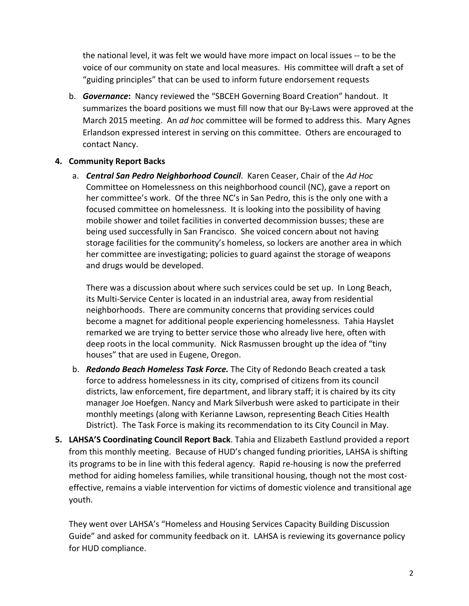the national level, it was felt we would have more impact on local issues -- to be the voice of our community on state and local measures. His committee will draft a set of "guiding principles" that can be used to inform future endorsement requests

b. **Governance:** Nancy reviewed the "SBCEH Governing Board Creation" handout. It summarizes the board positions we must fill now that our By-Laws were approved at the March 2015 meeting. An *ad hoc* committee will be formed to address this. Mary Agnes Erlandson expressed interest in serving on this committee. Others are encouraged to contact Nancy.

#### **4. Community Report Backs**

a. *Central San Pedro Neighborhood Council.* Karen Ceaser, Chair of the Ad Hoc Committee on Homelessness on this neighborhood council (NC), gave a report on her committee's work. Of the three NC's in San Pedro, this is the only one with a focused committee on homelessness. It is looking into the possibility of having mobile shower and toilet facilities in converted decommission busses; these are being used successfully in San Francisco. She voiced concern about not having storage facilities for the community's homeless, so lockers are another area in which her committee are investigating; policies to guard against the storage of weapons and drugs would be developed.

There was a discussion about where such services could be set up. In Long Beach, its Multi-Service Center is located in an industrial area, away from residential neighborhoods. There are community concerns that providing services could become a magnet for additional people experiencing homelessness. Tahia Hayslet remarked we are trying to better service those who already live here, often with deep roots in the local community. Nick Rasmussen brought up the idea of "tiny houses" that are used in Eugene, Oregon.

- b. **Redondo Beach Homeless Task Force.** The City of Redondo Beach created a task force to address homelessness in its city, comprised of citizens from its council districts, law enforcement, fire department, and library staff; it is chaired by its city manager Joe Hoefgen. Nancy and Mark Silverbush were asked to participate in their monthly meetings (along with Kerianne Lawson, representing Beach Cities Health District). The Task Force is making its recommendation to its City Council in May.
- **5. LAHSA'S Coordinating Council Report Back**. Tahia and Elizabeth Eastlund provided a report from this monthly meeting. Because of HUD's changed funding priorities, LAHSA is shifting its programs to be in line with this federal agency. Rapid re-housing is now the preferred method for aiding homeless families, while transitional housing, though not the most costeffective, remains a viable intervention for victims of domestic violence and transitional age youth.

They went over LAHSA's "Homeless and Housing Services Capacity Building Discussion Guide" and asked for community feedback on it. LAHSA is reviewing its governance policy for HUD compliance.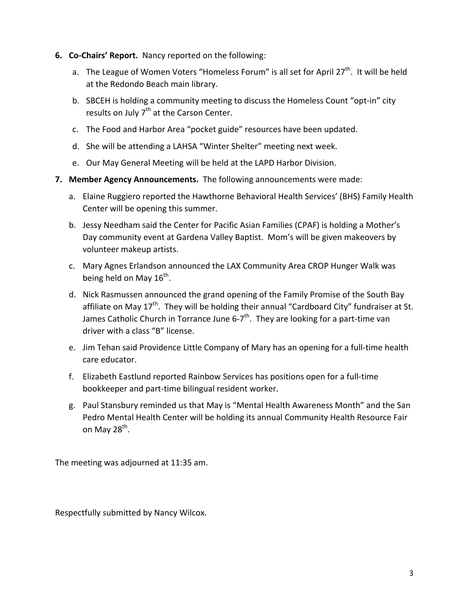- **6. Co-Chairs' Report.** Nancy reported on the following:
	- a. The League of Women Voters "Homeless Forum" is all set for April  $27<sup>th</sup>$ . It will be held at the Redondo Beach main library.
	- b. SBCEH is holding a community meeting to discuss the Homeless Count "opt-in" city results on July  $7<sup>th</sup>$  at the Carson Center.
	- c. The Food and Harbor Area "pocket guide" resources have been updated.
	- d. She will be attending a LAHSA "Winter Shelter" meeting next week.
	- e. Our May General Meeting will be held at the LAPD Harbor Division.
- **7. Member Agency Announcements.** The following announcements were made:
	- a. Elaine Ruggiero reported the Hawthorne Behavioral Health Services' (BHS) Family Health Center will be opening this summer.
	- b. Jessy Needham said the Center for Pacific Asian Families (CPAF) is holding a Mother's Day community event at Gardena Valley Baptist. Mom's will be given makeovers by volunteer makeup artists.
	- c. Mary Agnes Erlandson announced the LAX Community Area CROP Hunger Walk was being held on May  $16^{th}$ .
	- d. Nick Rasmussen announced the grand opening of the Family Promise of the South Bay affiliate on May  $17<sup>th</sup>$ . They will be holding their annual "Cardboard City" fundraiser at St. James Catholic Church in Torrance June  $6-7$ <sup>th</sup>. They are looking for a part-time van driver with a class "B" license.
	- e. Jim Tehan said Providence Little Company of Mary has an opening for a full-time health care educator.
	- f. Elizabeth Eastlund reported Rainbow Services has positions open for a full-time bookkeeper and part-time bilingual resident worker.
	- g. Paul Stansbury reminded us that May is "Mental Health Awareness Month" and the San Pedro Mental Health Center will be holding its annual Community Health Resource Fair on May 28 $th$ .

The meeting was adjourned at 11:35 am.

Respectfully submitted by Nancy Wilcox.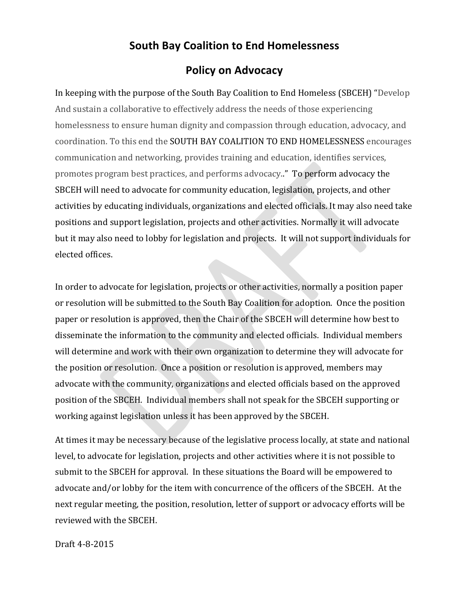### **South Bay Coalition to End Homelessness**

### **Policy on Advocacy**

In keeping with the purpose of the South Bay Coalition to End Homeless (SBCEH) "Develop And sustain a collaborative to effectively address the needs of those experiencing homelessness to ensure human dignity and compassion through education, advocacy, and coordination. To this end the SOUTH BAY COALITION TO END HOMELESSNESS encourages communication and networking, provides training and education, identifies services, promotes program best practices, and performs advocacy.." To perform advocacy the SBCEH will need to advocate for community education, legislation, projects, and other activities by educating individuals, organizations and elected officials. It may also need take positions and support legislation, projects and other activities. Normally it will advocate but it may also need to lobby for legislation and projects. It will not support individuals for elected offices. 

In order to advocate for legislation, projects or other activities, normally a position paper or resolution will be submitted to the South Bay Coalition for adoption. Once the position paper or resolution is approved, then the Chair of the SBCEH will determine how best to disseminate the information to the community and elected officials. Individual members will determine and work with their own organization to determine they will advocate for the position or resolution. Once a position or resolution is approved, members may advocate with the community, organizations and elected officials based on the approved position of the SBCEH. Individual members shall not speak for the SBCEH supporting or working against legislation unless it has been approved by the SBCEH.

At times it may be necessary because of the legislative process locally, at state and national level, to advocate for legislation, projects and other activities where it is not possible to submit to the SBCEH for approval. In these situations the Board will be empowered to advocate and/or lobby for the item with concurrence of the officers of the SBCEH. At the next regular meeting, the position, resolution, letter of support or advocacy efforts will be reviewed with the SBCEH.

Draft 4-8-2015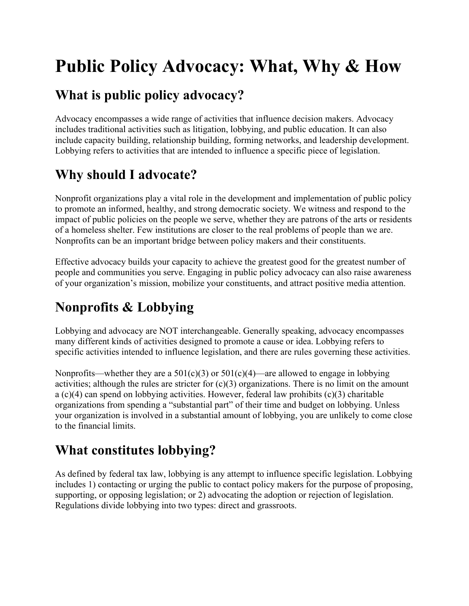# **Public Policy Advocacy: What, Why & How**

## **What is public policy advocacy?**

Advocacy encompasses a wide range of activities that influence decision makers. Advocacy includes traditional activities such as litigation, lobbying, and public education. It can also include capacity building, relationship building, forming networks, and leadership development. Lobbying refers to activities that are intended to influence a specific piece of legislation.

# **Why should I advocate?**

Nonprofit organizations play a vital role in the development and implementation of public policy to promote an informed, healthy, and strong democratic society. We witness and respond to the impact of public policies on the people we serve, whether they are patrons of the arts or residents of a homeless shelter. Few institutions are closer to the real problems of people than we are. Nonprofits can be an important bridge between policy makers and their constituents.

Effective advocacy builds your capacity to achieve the greatest good for the greatest number of people and communities you serve. Engaging in public policy advocacy can also raise awareness of your organization's mission, mobilize your constituents, and attract positive media attention.

# **Nonprofits & Lobbying**

Lobbying and advocacy are NOT interchangeable. Generally speaking, advocacy encompasses many different kinds of activities designed to promote a cause or idea. Lobbying refers to specific activities intended to influence legislation, and there are rules governing these activities.

Nonprofits—whether they are a  $501(c)(3)$  or  $501(c)(4)$ —are allowed to engage in lobbying activities; although the rules are stricter for  $(c)(3)$  organizations. There is no limit on the amount a (c)(4) can spend on lobbying activities. However, federal law prohibits (c)(3) charitable organizations from spending a "substantial part" of their time and budget on lobbying. Unless your organization is involved in a substantial amount of lobbying, you are unlikely to come close to the financial limits.

## **What constitutes lobbying?**

As defined by federal tax law, lobbying is any attempt to influence specific legislation. Lobbying includes 1) contacting or urging the public to contact policy makers for the purpose of proposing, supporting, or opposing legislation; or 2) advocating the adoption or rejection of legislation. Regulations divide lobbying into two types: direct and grassroots.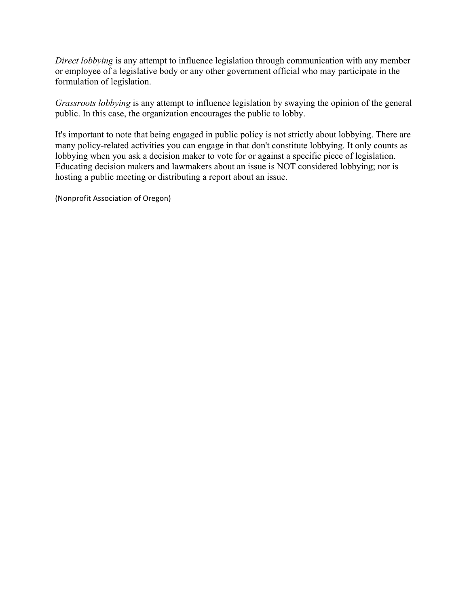*Direct lobbying* is any attempt to influence legislation through communication with any member or employee of a legislative body or any other government official who may participate in the formulation of legislation.

*Grassroots lobbying* is any attempt to influence legislation by swaying the opinion of the general public. In this case, the organization encourages the public to lobby.

It's important to note that being engaged in public policy is not strictly about lobbying. There are many policy-related activities you can engage in that don't constitute lobbying. It only counts as lobbying when you ask a decision maker to vote for or against a specific piece of legislation. Educating decision makers and lawmakers about an issue is NOT considered lobbying; nor is hosting a public meeting or distributing a report about an issue.

(Nonprofit Association of Oregon)